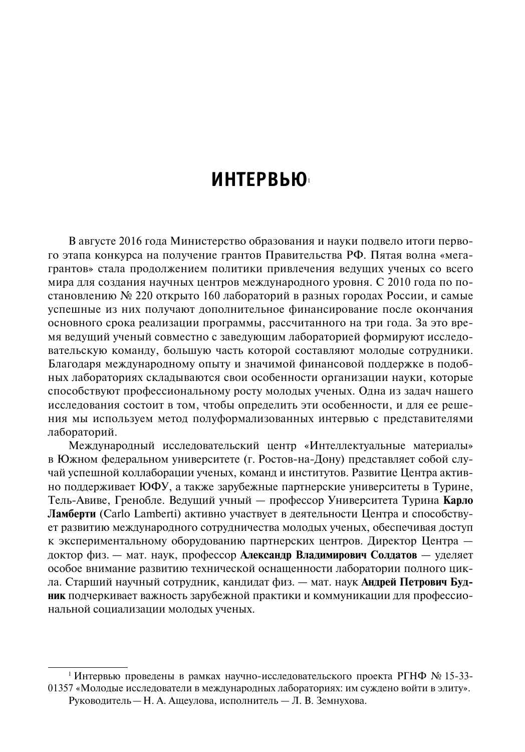# **Интервью**<sup>1</sup>

В августе 2016 года Министерство образования и науки подвело итоги первого этапа конкурса на получение грантов Правительства РФ. Пятая волна «мегагрантов» стала продолжением политики привлечения ведущих ученых со всего мира для создания научных центров международного уровня. С 2010 года по постановлению № 220 открыто 160 лабораторий в разных городах России, и самые успешные из них получают дополнительное финансирование после окончания основного срока реализации программы, рассчитанного на три года. За это время ведущий ученый совместно с заведующим лабораторией формируют исследовательскую команду, большую часть которой составляют молодые сотрудники. Благодаря международному опыту и значимой финансовой поддержке в подобных лабораториях складываются свои особенности организации науки, которые способствуют профессиональному росту молодых ученых. Одна из задач нашего исследования состоит в том, чтобы определить эти особенности, и для ее решения мы используем метод полуформализованных интервью с представителями лабораторий.

Международный исследовательский центр «Интеллектуальные материалы» в Южном федеральном университете (г. Ростов-на-Дону) представляет собой случай успешной коллаборации ученых, команд и институтов. Развитие Центра активно поддерживает ЮФУ, а также зарубежные партнерские университеты в Турине, Тель-Авиве, Гренобле. Ведущий учный — профессор Университета Турина **Карло Ламберти** (Carlo Lamberti) активно участвует в деятельности Центра и способствует развитию международного сотрудничества молодых ученых, обеспечивая доступ к экспериментальному оборудованию партнерских центров. Директор Центра доктор физ. — мат. наук, профессор **Александр Владимирович Солдатов** — уделяет особое внимание развитию технической оснащенности лаборатории полного цикла. Старший научный сотрудник, кандидат физ. — мат. наук **Андрей Петрович Будник** подчеркивает важность зарубежной практики и коммуникации для профессиональной социализации молодых ученых.

<sup>&</sup>lt;sup>1</sup> Интервью проведены в рамках научно-исследовательского проекта РГНФ № 15-33-01357 «Молодые исследователи в международных лабораториях: им суждено войти в элиту». Руководитель—Н. А. Ащеулова, исполнитель — Л. В. Земнухова.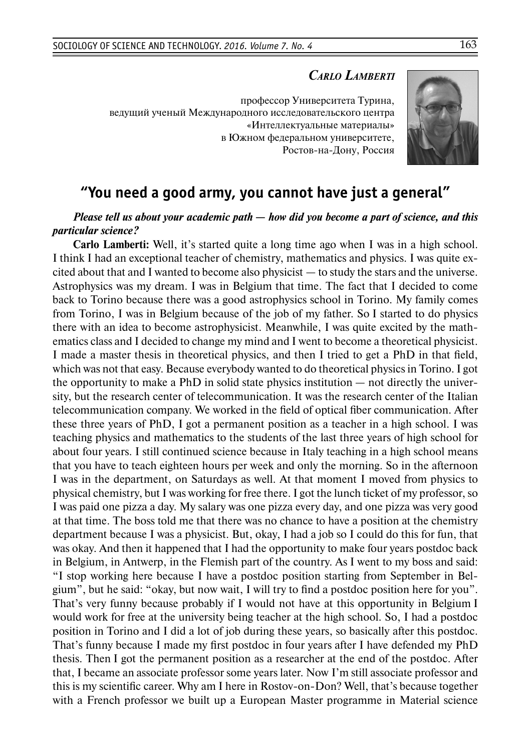## *Carlo Lamberti*

профессор Университета Турина, ведущий ученый Международного исследовательского центра «Интеллектуальные материалы» в Южном федеральном университете, Ростов-на-Дону, Россия



## **"You need a good army, you cannot have just a general"**

## *Please tell us about your academic path — how did you become a part of science, and this particular science?*

**Carlo Lamberti:** Well, it's started quite a long time ago when I was in a high school. I think I had an exceptional teacher of chemistry, mathematics and physics. I was quite excited about that and I wanted to become also physicist — to study the stars and the universe. Astrophysics was my dream. I was in Belgium that time. The fact that I decided to come back to Torino because there was a good astrophysics school in Torino. My family comes from Torino, I was in Belgium because of the job of my father. So I started to do physics there with an idea to become astrophysicist. Meanwhile, I was quite excited by the mathematics class and I decided to change my mind and I went to become a theoretical physicist. I made a master thesis in theoretical physics, and then I tried to get a PhD in that field, which was not that easy. Because everybody wanted to do theoretical physics in Torino. I got the opportunity to make a PhD in solid state physics institution — not directly the university, but the research center of telecommunication. It was the research center of the Italian telecommunication company. We worked in the field of optical fiber communication. After these three years of PhD, I got a permanent position as a teacher in a high school. I was teaching physics and mathematics to the students of the last three years of high school for about four years. I still continued science because in Italy teaching in a high school means that you have to teach eighteen hours per week and only the morning. So in the afternoon I was in the department, on Saturdays as well. At that moment I moved from physics to physical chemistry, but I was working for free there. I got the lunch ticket of my professor, so I was paid one pizza a day. My salary was one pizza every day, and one pizza was very good at that time. The boss told me that there was no chance to have a position at the chemistry department because I was a physicist. But, okay, I had a job so I could do this for fun, that was okay. And then it happened that I had the opportunity to make four years postdoc back in Belgium, in Antwerp, in the Flemish part of the country. As I went to my boss and said: "I stop working here because I have a postdoc position starting from September in Belgium", but he said: "okay, but now wait, I will try to find a postdoc position here for you". That's very funny because probably if I would not have at this opportunity in Belgium I would work for free at the university being teacher at the high school. So, I had a postdoc position in Torino and I did a lot of job during these years, so basically after this postdoc. That's funny because I made my first postdoc in four years after I have defended my PhD thesis. Then I got the permanent position as a researcher at the end of the postdoc. After that, I became an associate professor some years later. Now I'm still associate professor and this is my scientific career. Why am I here in Rostov-on-Don? Well, that's because together with a French professor we built up a European Master programme in Material science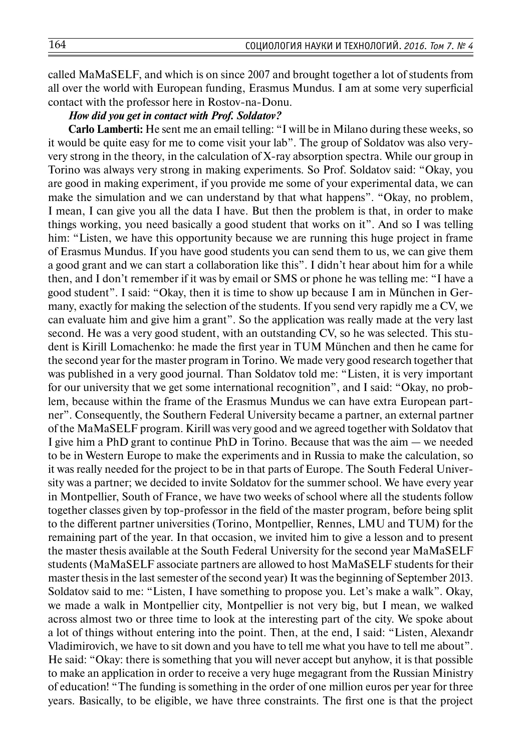called MaMaSELF, and which is on since 2007 and brought together a lot of students from all over the world with European funding, Erasmus Mundus. I am at some very superficial contact with the professor here in Rostov-na-Donu.

#### *How did you get in contact with Prof. Soldatov?*

**Carlo Lamberti:** He sent me an email telling: "I will be in Milano during these weeks, so it would be quite easy for me to come visit your lab". The group of Soldatov was also veryvery strong in the theory, in the calculation of X-ray absorption spectra. While our group in Torino was always very strong in making experiments. So Prof. Soldatov said: "Okay, you are good in making experiment, if you provide me some of your experimental data, we can make the simulation and we can understand by that what happens". "Okay, no problem, I mean, I can give you all the data I have. But then the problem is that, in order to make things working, you need basically a good student that works on it". And so I was telling him: "Listen, we have this opportunity because we are running this huge project in frame of Erasmus Mundus. If you have good students you can send them to us, we can give them a good grant and we can start a collaboration like this". I didn't hear about him for a while then, and I don't remember if it was by email or SMS or phone he was telling me: "I have a good student". I said: "Okay, then it is time to show up because I am in München in Germany, exactly for making the selection of the students. If you send very rapidly me a CV, we can evaluate him and give him a grant". So the application was really made at the very last second. He was a very good student, with an outstanding CV, so he was selected. This student is Kirill Lomachenko: he made the first year in TUM München and then he came for the second year for the master program in Torino. We made very good research together that was published in a very good journal. Than Soldatov told me: "Listen, it is very important for our university that we get some international recognition", and I said: "Okay, no problem, because within the frame of the Erasmus Mundus we can have extra European partner". Consequently, the Southern Federal University became a partner, an external partner of the MaMaSELF program. Kirill was very good and we agreed together with Soldatov that I give him a PhD grant to continue PhD in Torino. Because that was the aim — we needed to be in Western Europe to make the experiments and in Russia to make the calculation, so it was really needed for the project to be in that parts of Europe. The South Federal University was a partner; we decided to invite Soldatov for the summer school. We have every year in Montpellier, South of France, we have two weeks of school where all the students follow together classes given by top-professor in the field of the master program, before being split to the different partner universities (Torino, Montpellier, Rennes, LMU and TUM) for the remaining part of the year. In that occasion, we invited him to give a lesson and to present the master thesis available at the South Federal University for the second year MaMaSELF students (MaMaSELF associate partners are allowed to host MaMaSELF students for their master thesis in the last semester of the second year) It was the beginning of September 2013. Soldatov said to me: "Listen, I have something to propose you. Let's make a walk". Okay, we made a walk in Montpellier city, Montpellier is not very big, but I mean, we walked across almost two or three time to look at the interesting part of the city. We spoke about a lot of things without entering into the point. Then, at the end, I said: "Listen, Alexandr Vladimirovich, we have to sit down and you have to tell me what you have to tell me about". He said: "Okay: there is something that you will never accept but anyhow, it is that possible to make an application in order to receive a very huge megagrant from the Russian Ministry of education! "The funding is something in the order of one million euros per year for three years. Basically, to be eligible, we have three constraints. The first one is that the project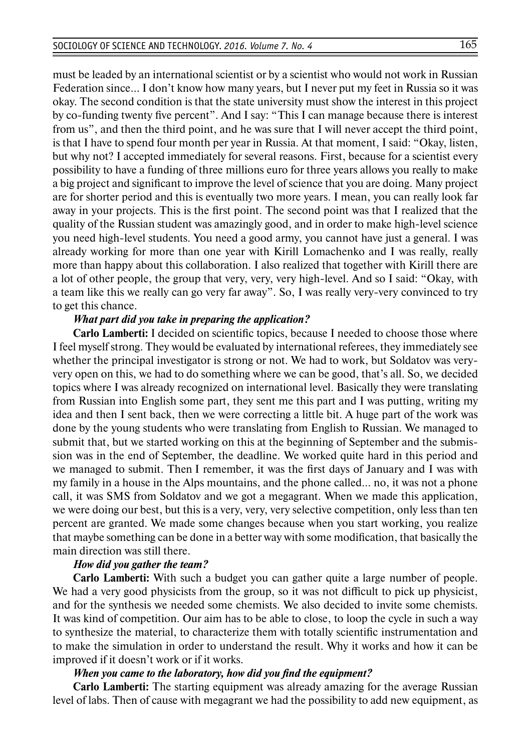must be leaded by an international scientist or by a scientist who would not work in Russian Federation since… I don't know how many years, but I never put my feet in Russia so it was okay. The second condition is that the state university must show the interest in this project by co-funding twenty five percent". And I say: "This I can manage because there is interest from us", and then the third point, and he was sure that I will never accept the third point, is that I have to spend four month per year in Russia. At that moment, I said: "Okay, listen, but why not? I accepted immediately for several reasons. First, because for a scientist every possibility to have a funding of three millions euro for three years allows you really to make a big project and significant to improve the level of science that you are doing. Many project are for shorter period and this is eventually two more years. I mean, you can really look far away in your projects. This is the first point. The second point was that I realized that the quality of the Russian student was amazingly good, and in order to make high-level science you need high-level students. You need a good army, you cannot have just a general. I was already working for more than one year with Kirill Lomachenko and I was really, really more than happy about this collaboration. I also realized that together with Kirill there are a lot of other people, the group that very, very, very high-level. And so I said: "Okay, with a team like this we really can go very far away". So, I was really very-very convinced to try to get this chance.

#### *What part did you take in preparing the application?*

**Carlo Lamberti:** I decided on scientific topics, because I needed to choose those where I feel myself strong. They would be evaluated by international referees, they immediately see whether the principal investigator is strong or not. We had to work, but Soldatov was veryvery open on this, we had to do something where we can be good, that's all. So, we decided topics where I was already recognized on international level. Basically they were translating from Russian into English some part, they sent me this part and I was putting, writing my idea and then I sent back, then we were correcting a little bit. A huge part of the work was done by the young students who were translating from English to Russian. We managed to submit that, but we started working on this at the beginning of September and the submission was in the end of September, the deadline. We worked quite hard in this period and we managed to submit. Then I remember, it was the first days of January and I was with my family in a house in the Alps mountains, and the phone called… no, it was not a phone call, it was SMS from Soldatov and we got a megagrant. When we made this application, we were doing our best, but this is a very, very, very selective competition, only less than ten percent are granted. We made some changes because when you start working, you realize that maybe something can be done in a better way with some modification, that basically the main direction was still there.

#### *How did you gather the team?*

**Carlo Lamberti:** With such a budget you can gather quite a large number of people. We had a very good physicists from the group, so it was not difficult to pick up physicist, and for the synthesis we needed some chemists. We also decided to invite some chemists. It was kind of competition. Our aim has to be able to close, to loop the cycle in such a way to synthesize the material, to characterize them with totally scientific instrumentation and to make the simulation in order to understand the result. Why it works and how it can be improved if it doesn't work or if it works.

#### *When you came to the laboratory, how did you find the equipment?*

**Carlo Lamberti:** The starting equipment was already amazing for the average Russian level of labs. Then of cause with megagrant we had the possibility to add new equipment, as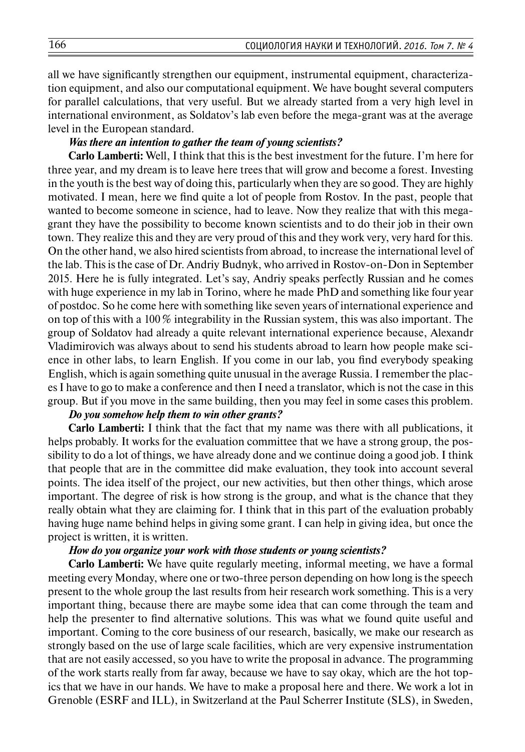all we have significantly strengthen our equipment, instrumental equipment, characterization equipment, and also our computational equipment. We have bought several computers for parallel calculations, that very useful. But we already started from a very high level in international environment, as Soldatov's lab even before the mega-grant was at the average level in the European standard.

#### *Was there an intention to gather the team of young scientists?*

**Carlo Lamberti:** Well, I think that this is the best investment for the future. I'm here for three year, and my dream is to leave here trees that will grow and become a forest. Investing in the youth is the best way of doing this, particularly when they are so good. They are highly motivated. I mean, here we find quite a lot of people from Rostov. In the past, people that wanted to become someone in science, had to leave. Now they realize that with this megagrant they have the possibility to become known scientists and to do their job in their own town. They realize this and they are very proud of this and they work very, very hard for this. On the other hand, we also hired scientists from abroad, to increase the international level of the lab. This is the case of Dr. Andriy Budnyk, who arrived in Rostov-on-Don in September 2015. Here he is fully integrated. Let's say, Andriy speaks perfectly Russian and he comes with huge experience in my lab in Torino, where he made PhD and something like four year of postdoc. So he come here with something like seven years of international experience and on top of this with a  $100\%$  integrability in the Russian system, this was also important. The group of Soldatov had already a quite relevant international experience because, Alexandr Vladimirovich was always about to send his students abroad to learn how people make science in other labs, to learn English. If you come in our lab, you find everybody speaking English, which is again something quite unusual in the average Russia. Iremember the places I have to go to make a conference and then I need a translator, which is not the case in this group. But if you move in the same building, then you may feel in some cases this problem.

#### *Do you somehow help them to win other grants?*

**Carlo Lamberti:** I think that the fact that my name was there with all publications, it helps probably. It works for the evaluation committee that we have a strong group, the possibility to do a lot of things, we have already done and we continue doing a good job. I think that people that are in the committee did make evaluation, they took into account several points. The idea itself of the project, our new activities, but then other things, which arose important. The degree of risk is how strong is the group, and what is the chance that they really obtain what they are claiming for. I think that in this part of the evaluation probably having huge name behind helps in giving some grant. I can help in giving idea, but once the project is written, it is written.

#### *How do you organize your work with those students or young scientists?*

**Carlo Lamberti:** We have quite regularly meeting, informal meeting, we have a formal meeting every Monday, where one or two-three person depending on how long is the speech present to the whole group the last results from heir research work something. This is a very important thing, because there are maybe some idea that can come through the team and help the presenter to find alternative solutions. This was what we found quite useful and important. Coming to the core business of our research, basically, we make our research as strongly based on the use of large scale facilities, which are very expensive instrumentation that are not easily accessed, so you have to write the proposal in advance. The programming of the work starts really from far away, because we have to say okay, which are the hot topics that we have in our hands. We have to make a proposal here and there. We work a lot in Grenoble (ESRF and ILL), in Switzerland at the Paul Scherrer Institute (SLS), in Sweden,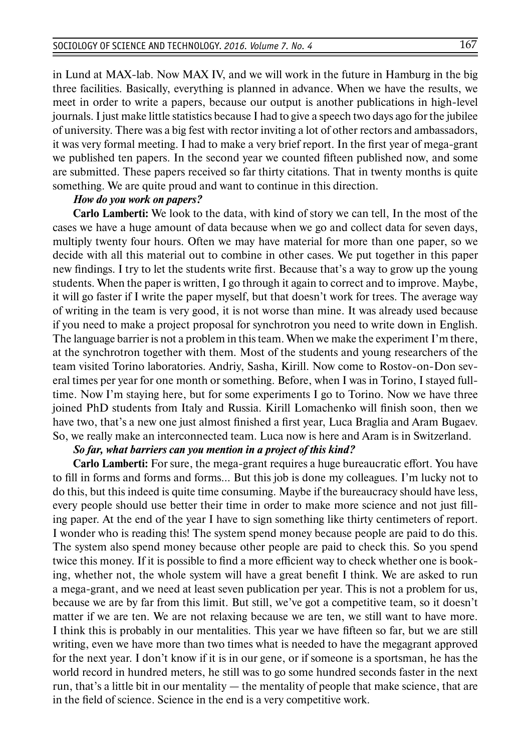in Lund at MAX-lab. Now MAX IV, and we will work in the future in Hamburg in the big three facilities. Basically, everything is planned in advance. When we have the results, we meet in order to write a papers, because our output is another publications in high-level journals. I just make little statistics because I had to give a speech two days ago for the jubilee of university. There was a big fest with rector inviting a lot of other rectors and ambassadors, it was very formal meeting. I had to make a very brief report. In the first year of mega-grant we published ten papers. In the second year we counted fifteen published now, and some are submitted. These papers received so far thirty citations. That in twenty months is quite something. We are quite proud and want to continue in this direction.

### *How do you work on papers?*

**Carlo Lamberti:** We look to the data, with kind of story we can tell, In the most of the cases we have a huge amount of data because when we go and collect data for seven days, multiply twenty four hours. Often we may have material for more than one paper, so we decide with all this material out to combine in other cases. We put together in this paper new findings. I try to let the students write first. Because that's a way to grow up the young students. When the paper is written, I go through it again to correct and to improve. Maybe, it will go faster if I write the paper myself, but that doesn't work for trees. The average way of writing in the team is very good, it is not worse than mine. It was already used because if you need to make a project proposal for synchrotron you need to write down in English. The language barrier is not a problem in this team. When we make the experiment I'm there, at the synchrotron together with them. Most of the students and young researchers of the team visited Torino laboratories. Andriy, Sasha, Kirill. Now come to Rostov-on-Don several times per year for one month or something. Before, when I was in Torino, I stayed fulltime. Now I'm staying here, but for some experiments I go to Torino. Now we have three joined PhD students from Italy and Russia. Kirill Lomachenko will finish soon, then we have two, that's a new one just almost finished a first year, Luca Braglia and Aram Bugaev. So, we really make an interconnected team. Luca now is here and Aram is in Switzerland.

#### *So far, what barriers can you mention in a project of this kind?*

**Carlo Lamberti:** For sure, the mega-grant requires a huge bureaucratic effort. You have to fill in forms and forms and forms… But this job is done my colleagues. I'm lucky not to do this, but this indeed is quite time consuming. Maybe if the bureaucracy should have less, every people should use better their time in order to make more science and not just filling paper. At the end of the year I have to sign something like thirty centimeters of report. I wonder who is reading this! The system spend money because people are paid to do this. The system also spend money because other people are paid to check this. So you spend twice this money. If it is possible to find a more efficient way to check whether one is booking, whether not, the whole system will have a great benefit I think. We are asked to run a mega-grant, and we need at least seven publication per year. This is not a problem for us, because we are by far from this limit. But still, we've got a competitive team, so it doesn't matter if we are ten. We are not relaxing because we are ten, we still want to have more. I think this is probably in our mentalities. This year we have fifteen so far, but we are still writing, even we have more than two times what is needed to have the megagrant approved for the next year. I don't know if it is in our gene, or if someone is a sportsman, he has the world record in hundred meters, he still was to go some hundred seconds faster in the next run, that's a little bit in our mentality — the mentality of people that make science, that are in the field of science. Science in the end is a very competitive work.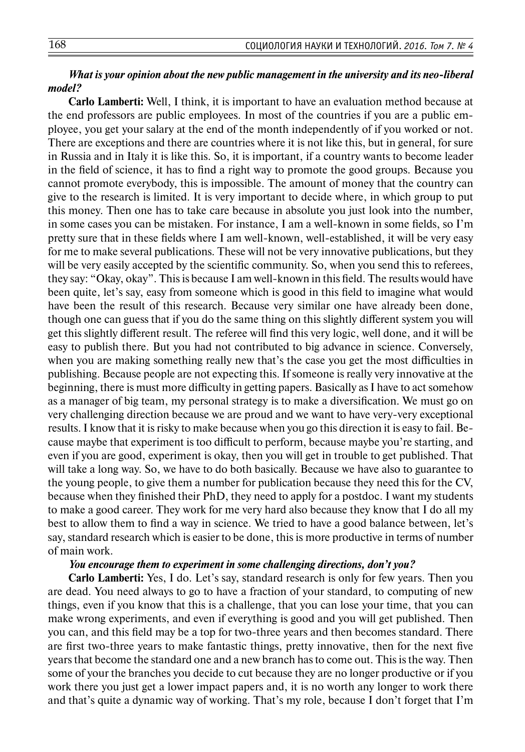## *What is your opinion about the new public management in the university and its neo-liberal model?*

**Carlo Lamberti:** Well, I think, it is important to have an evaluation method because at the end professors are public employees. In most of the countries if you are a public employee, you get your salary at the end of the month independently of if you worked or not. There are exceptions and there are countries where it is not like this, but in general, for sure in Russia and in Italy it is like this. So, it is important, if a country wants to become leader in the field of science, it has to find a right way to promote the good groups. Because you cannot promote everybody, this is impossible. The amount of money that the country can give to the research is limited. It is very important to decide where, in which group to put this money. Then one has to take care because in absolute you just look into the number, in some cases you can be mistaken. For instance, I am a well-known in some fields, so I'm pretty sure that in these fields where I am well-known, well-established, it will be very easy for me to make several publications. These will not be very innovative publications, but they will be very easily accepted by the scientific community. So, when you send this to referees, they say: "Okay, okay". This is because I am well-known in this field. The results would have been quite, let's say, easy from someone which is good in this field to imagine what would have been the result of this research. Because very similar one have already been done, though one can guess that if you do the same thing on this slightly different system you will get this slightly different result. The referee will find this very logic, well done, and it will be easy to publish there. But you had not contributed to big advance in science. Conversely, when you are making something really new that's the case you get the most difficulties in publishing. Because people are not expecting this. If someone is really very innovative at the beginning, there is must more difficulty in getting papers. Basically as I have to act somehow as a manager of big team, my personal strategy is to make a diversification. We must go on very challenging direction because we are proud and we want to have very-very exceptional results. I know that it is risky to make because when you go this direction it is easy to fail. Because maybe that experiment is too difficult to perform, because maybe you're starting, and even if you are good, experiment is okay, then you will get in trouble to get published. That will take a long way. So, we have to do both basically. Because we have also to guarantee to the young people, to give them a number for publication because they need this for the CV, because when they finished their PhD, they need to apply for a postdoc. I want my students to make a good career. They work for me very hard also because they know that I do all my best to allow them to find a way in science. We tried to have a good balance between, let's say, standard research which is easier to be done, this is more productive in terms of number of main work.

#### *You encourage them to experiment in some challenging directions, don't you?*

**Carlo Lamberti:** Yes, I do. Let's say, standard research is only for few years. Then you are dead. You need always to go to have a fraction of your standard, to computing of new things, even if you know that this is a challenge, that you can lose your time, that you can make wrong experiments, and even if everything is good and you will get published. Then you can, and this field may be a top for two-three years and then becomes standard. There are first two-three years to make fantastic things, pretty innovative, then for the next five years that become the standard one and a new branch has to come out. This is the way. Then some of your the branches you decide to cut because they are no longer productive or if you work there you just get a lower impact papers and, it is no worth any longer to work there and that's quite a dynamic way of working. That's my role, because I don't forget that I'm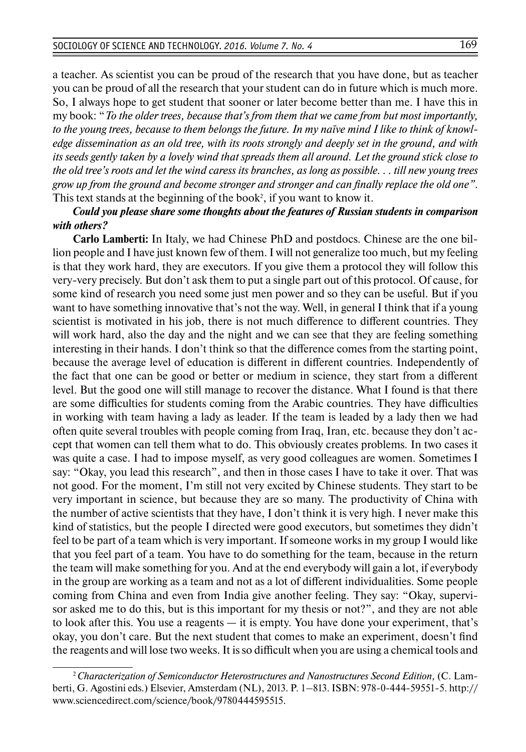a teacher. As scientist you can be proud of the research that you have done, but as teacher you can be proud of all the research that your student can do in future which is much more. So, I always hope to get student that sooner or later become better than me. I have this in my book: "*To the older trees, because that's from them that we came from but most importantly, to the young trees, because to them belongs the future. In my naïve mind I like to think of knowledge dissemination as an old tree, with its roots strongly and deeply set in the ground, and with its seeds gently taken by a lovely wind that spreads them all around. Let the ground stick close to the old tree's roots and let the wind caress its branches, as long as possible. . . till new young trees grow up from the ground and become stronger and stronger and can finally replace the old one"*. This text stands at the beginning of the book<sup>2</sup>, if you want to know it.

*Could you please share some thoughts about the features of Russian students in comparison with others?*

**Carlo Lamberti:** In Italy, we had Chinese PhD and postdocs. Chinese are the one billion people and I have just known few of them. I will not generalize too much, but my feeling is that they work hard, they are executors. If you give them a protocol they will follow this very-very precisely. But don't ask them to put a single part out of this protocol. Of cause, for some kind of research you need some just men power and so they can be useful. But if you want to have something innovative that's not the way. Well, in general I think that if a young scientist is motivated in his job, there is not much difference to different countries. They will work hard, also the day and the night and we can see that they are feeling something interesting in their hands. I don't think so that the difference comes from the starting point, because the average level of education is different in different countries. Independently of the fact that one can be good or better or medium in science, they start from a different level. But the good one will still manage to recover the distance. What I found is that there are some difficulties for students coming from the Arabic countries. They have difficulties in working with team having a lady as leader. If the team is leaded by a lady then we had often quite several troubles with people coming from Iraq, Iran, etc. because they don't accept that women can tell them what to do. This obviously creates problems. In two cases it was quite a case. I had to impose myself, as very good colleagues are women. Sometimes I say: "Okay, you lead this research", and then in those cases I have to take it over. That was not good. For the moment, I'm still not very excited by Chinese students. They start to be very important in science, but because they are so many. The productivity of China with the number of active scientists that they have, I don't think it is very high. I never make this kind of statistics, but the people I directed were good executors, but sometimes they didn't feel to be part of a team which is very important. If someone works in my group I would like that you feel part of a team. You have to do something for the team, because in the return the team will make something for you. And at the end everybody will gain a lot, if everybody in the group are working as a team and not as a lot of different individualities. Some people coming from China and even from India give another feeling. They say: "Okay, supervisor asked me to do this, but is this important for my thesis or not?", and they are not able to look after this. You use a reagents — it is empty. You have done your experiment, that's okay, you don't care. But the next student that comes to make an experiment, doesn't find the reagents and will lose two weeks. It is so difficult when you are using a chemical tools and

<sup>2</sup>*Characterization of Semiconductor Heterostructures and Nanostructures Second Edition,* (C. Lamberti, G. Agostini eds.) Elsevier, Amsterdam (NL), 2013. Р. 1–813. ISBN: 978-0-444-59551-5. http:// www.sciencedirect.com/science/book/9780444595515.